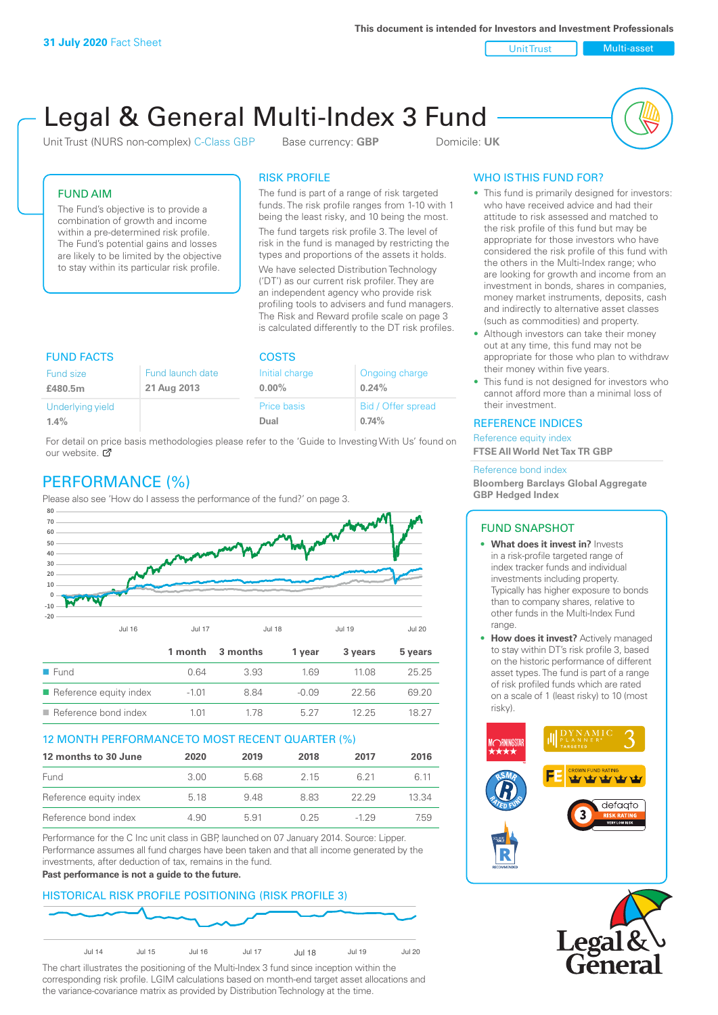Unit Trust Nulti-asset

# Legal & General Multi-Index 3 Fund

Unit Trust (NURS non-complex) C-Class GBP Base currency: **GBP** Domicile: UK



## FUND AIM

The Fund's objective is to provide a combination of growth and income within a pre-determined risk profile. The Fund's potential gains and losses are likely to be limited by the objective to stay within its particular risk profile.

## RISK PROFILE

The fund is part of a range of risk targeted funds. The risk profile ranges from 1-10 with 1 being the least risky, and 10 being the most.

The fund targets risk profile 3. The level of risk in the fund is managed by restricting the types and proportions of the assets it holds. We have selected Distribution Technology ('DT') as our current risk profiler. They are an independent agency who provide risk profiling tools to advisers and fund managers. The Risk and Reward profile scale on page 3 is calculated differently to the DT risk profiles.

| <b>FUND FACTS</b> |                  | <b>COSTS</b>   |                    |  |
|-------------------|------------------|----------------|--------------------|--|
| Fund size         | Fund launch date | Initial charge | Ongoing charge     |  |
| £480.5m           | 21 Aug 2013      | $0.00\%$       | 0.24%              |  |
| Underlying yield  |                  | Price basis    | Bid / Offer spread |  |
| 1.4%              |                  | Dual           | 0.74%              |  |

For detail on [pric](http://www.legalandgeneral.com/guide)e basis methodologies please refer to the 'Guide to Investing With Us' found on our website. Ø

# PERFORMANCE (%)

Please also see 'How do I assess the performance of the fund?' on page 3.



## 12 MONTH PERFORMANCE TO MOST RECENT QUARTER (%)

| 12 months to 30 June   | 2020 | 2019 | 2018 | 2017  | 2016  |
|------------------------|------|------|------|-------|-------|
| Fund                   | 3.00 | 568  | 2 15 | 6.21  | 6 11  |
| Reference equity index | 5.18 | 948  | 883  | 22.29 | 13.34 |
| Reference bond index   | 4.90 | 5.91 | 0.25 | -1 29 | 7.59  |

Performance for the C Inc unit class in GBP, launched on 07 January 2014. Source: Lipper. Performance assumes all fund charges have been taken and that all income generated by the investments, after deduction of tax, remains in the fund.

#### **Past performance is not a guide to the future.**

## HISTORICAL RISK PROFILE POSITIONING (RISK PROFILE 3)



The chart illustrates the positioning of the Multi-Index 3 fund since inception within the corresponding risk profile. LGIM calculations based on month-end target asset allocations and the variance-covariance matrix as provided by Distribution Technology at the time.

# WHO IS THIS FUND FOR?

- This fund is primarily designed for investors: who have received advice and had their attitude to risk assessed and matched to the risk profile of this fund but may be appropriate for those investors who have considered the risk profile of this fund with the others in the Multi-Index range; who are looking for growth and income from an investment in bonds, shares in companies, money market instruments, deposits, cash and indirectly to alternative asset classes (such as commodities) and property.
- Although investors can take their money out at any time, this fund may not be appropriate for those who plan to withdraw their money within five years.
- This fund is not designed for investors who cannot afford more than a minimal loss of their investment.

## REFERENCE INDICES

Reference equity index **FTSE All World Net Tax TR GBP**

#### Reference bond index

**Bloomberg Barclays Global Aggregate GBP Hedged Index**

## FUND SNAPSHOT

- **• What does it invest in?** Invests in a risk-profile targeted range of index tracker funds and individual investments including property. Typically has higher exposure to bonds than to company shares, relative to other funds in the Multi-Index Fund range.
- **• How does it invest?** Actively managed to stay within DT's risk profile 3, based on the historic performance of different asset types. The fund is part of a range of risk profiled funds which are rated on a scale of 1 (least risky) to 10 (most risky).



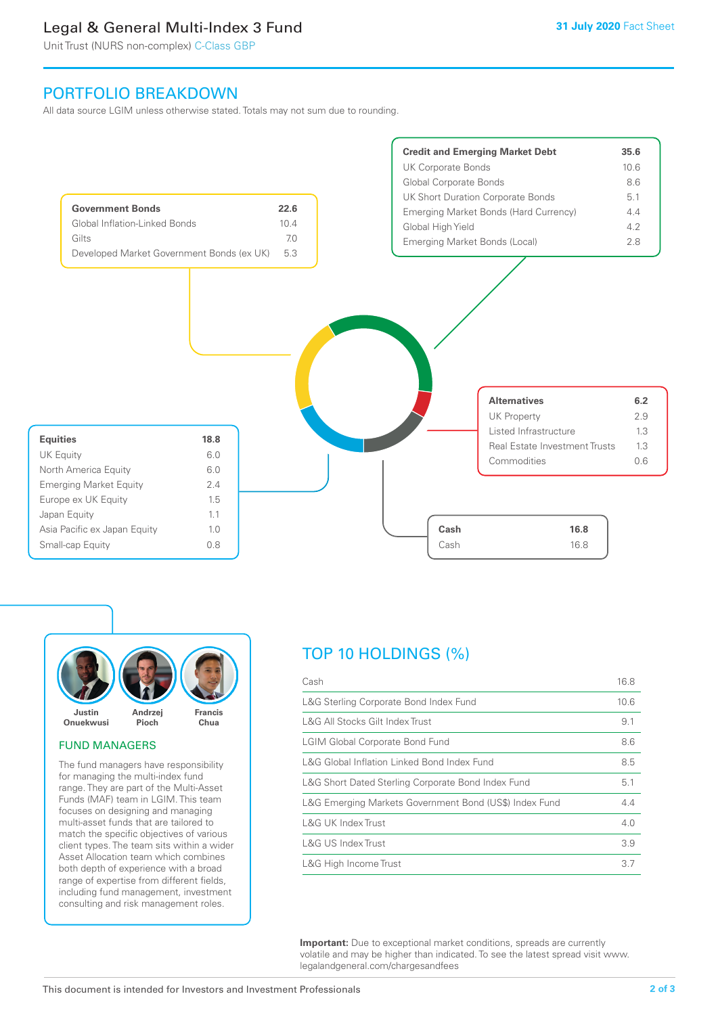# Legal & General Multi-Index 3 Fund

Unit Trust (NURS non-complex) C-Class GBP

# PORTFOLIO BREAKDOWN

All data source LGIM unless otherwise stated. Totals may not sum due to rounding.





## FUND MANAGERS

The fund managers have responsibility for managing the multi-index fund range. They are part of the Multi-Asset Funds (MAF) team in LGIM. This team focuses on designing and managing multi-asset funds that are tailored to match the specific objectives of various client types. The team sits within a wider Asset Allocation team which combines both depth of experience with a broad range of expertise from different fields, including fund management, investment consulting and risk management roles.

# TOP 10 HOLDINGS (%)

| Cash                                                   | 16.8 |
|--------------------------------------------------------|------|
| L&G Sterling Corporate Bond Index Fund                 | 10.6 |
| L&G All Stocks Gilt Index Trust                        | 9.1  |
| <b>LGIM Global Corporate Bond Fund</b>                 | 8.6  |
| L&G Global Inflation Linked Bond Index Fund            | 8.5  |
| L&G Short Dated Sterling Corporate Bond Index Fund     | 5.1  |
| L&G Emerging Markets Government Bond (US\$) Index Fund | 4.4  |
| L&G UK Index Trust                                     | 4.0  |
| L&G US Index Trust                                     | 3.9  |
| L&G High Income Trust                                  | 3.7  |

**Important:** Due to exceptional market conditions, spreads are currently volatile and may be higher than indicated. To see the latest spread visit www. legalandgeneral.com/chargesandfees